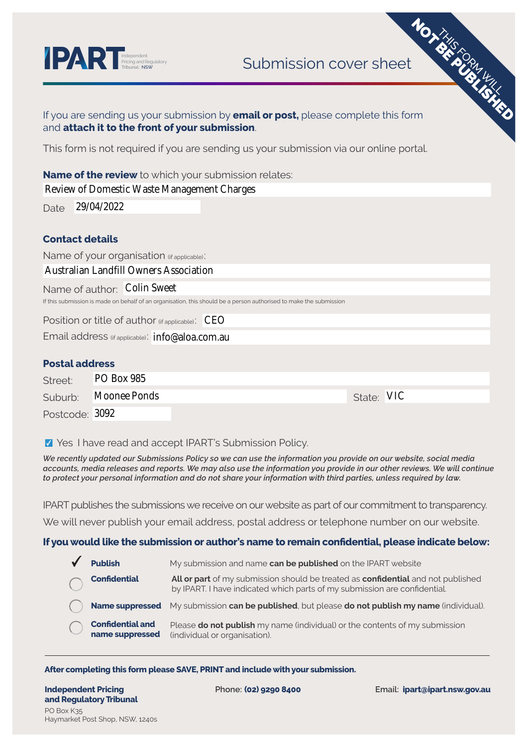

| <b>PART Independent</b><br><b>PRT Pricing and Regulatory</b> | <b>MOXES SERVICES</b><br>Submission cover sheet                                                                                             |
|--------------------------------------------------------------|---------------------------------------------------------------------------------------------------------------------------------------------|
|                                                              |                                                                                                                                             |
|                                                              | If you are sending us your submission by <b>email or post</b> , please complete this form<br>and attach it to the front of your submission. |
|                                                              | This form is not required if you are sending us your submission via our online portal.                                                      |
|                                                              | <b>Name of the review</b> to which your submission relates:                                                                                 |
|                                                              | Review of Domestic Waste Management Charges                                                                                                 |
| 29/04/2022<br>Date                                           |                                                                                                                                             |
|                                                              |                                                                                                                                             |
| <b>Contact details</b>                                       |                                                                                                                                             |
| Name of your organisation (if applicable):                   |                                                                                                                                             |
| <b>Australian Landfill Owners Association</b>                |                                                                                                                                             |
| Name of author: Colin Sweet                                  |                                                                                                                                             |
|                                                              | If this submission is made on behalf of an organisation, this should be a person authorised to make the submission                          |
|                                                              | Position or title of author $(f_{\text{fappliedble}})$ : $CEO$                                                                              |
|                                                              | Email address (if applicable): info@aloa.com.au                                                                                             |
|                                                              |                                                                                                                                             |
| <b>Postal address</b><br><b>PO Box 985</b>                   |                                                                                                                                             |
| Street:                                                      |                                                                                                                                             |
| <b>Moonee Ponds</b><br>Suburb:                               | State: VIC                                                                                                                                  |
| Postcode: 3092                                               |                                                                                                                                             |

**Y** Yes I have read and accept IPART's Submission Policy.

*We recently updated our Submissions Policy so we can use the information you provide on our website, social media accounts, media releases and reports. We may also use the information you provide in our other reviews. We will continue to protect your personal information and do not share your information with third parties, unless required by law.*

IPART publishes the submissions we receive on our website as part of our commitment to transparency.

We will never publish your email address, postal address or telephone number on our website.

## **If you would like the submission or author's name to remain confidential, please indicate below:**

| <b>Publish</b>                             | My submission and name can be published on the IPART website                                                                                                  |
|--------------------------------------------|---------------------------------------------------------------------------------------------------------------------------------------------------------------|
| <b>Confidential</b>                        | All or part of my submission should be treated as confidential and not published<br>by IPART. I have indicated which parts of my submission are confidential. |
|                                            | Name suppressed My submission can be published, but please do not publish my name (individual).                                                               |
| <b>Confidential and</b><br>name suppressed | Please do not publish my name (individual) or the contents of my submission<br>(individual or organisation).                                                  |

### **After completing this form please SAVE, PRINT and include with your submission.**

**Independent Pricing and Regulatory Tribunal** PO Box K35 Haymarket Post Shop, NSW, 1240s

**Phone: (02) 9290 8400 Email: ipart@ipart.nsw.gov.au**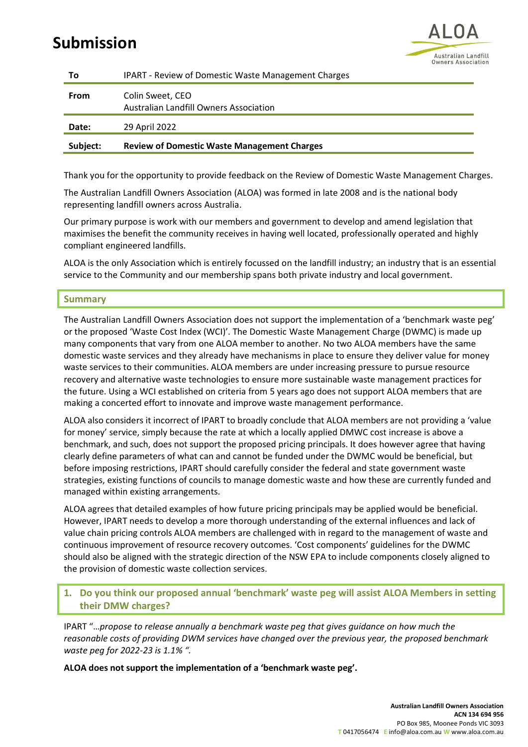# **Submission**



| Τo       | <b>IPART - Review of Domestic Waste Management Charges</b> |
|----------|------------------------------------------------------------|
| From     | Colin Sweet, CEO<br>Australian Landfill Owners Association |
| Date:    | 29 April 2022                                              |
| Subject: | <b>Review of Domestic Waste Management Charges</b>         |

Thank you for the opportunity to provide feedback on the Review of Domestic Waste Management Charges.

The Australian Landfill Owners Association (ALOA) was formed in late 2008 and is the national body representing landfill owners across Australia.

Our primary purpose is work with our members and government to develop and amend legislation that maximises the benefit the community receives in having well located, professionally operated and highly compliant engineered landfills.

ALOA is the only Association which is entirely focussed on the landfill industry; an industry that is an essential service to the Community and our membership spans both private industry and local government.

## **Summary**

The Australian Landfill Owners Association does not support the implementation of a 'benchmark waste peg' or the proposed 'Waste Cost Index (WCI)'. The Domestic Waste Management Charge (DWMC) is made up many components that vary from one ALOA member to another. No two ALOA members have the same domestic waste services and they already have mechanisms in place to ensure they deliver value for money waste services to their communities. ALOA members are under increasing pressure to pursue resource recovery and alternative waste technologies to ensure more sustainable waste management practices for the future. Using a WCI established on criteria from 5 years ago does not support ALOA members that are making a concerted effort to innovate and improve waste management performance.

ALOA also considers it incorrect of IPART to broadly conclude that ALOA members are not providing a 'value for money' service, simply because the rate at which a locally applied DMWC cost increase is above a benchmark, and such, does not support the proposed pricing principals. It does however agree that having clearly define parameters of what can and cannot be funded under the DWMC would be beneficial, but before imposing restrictions, IPART should carefully consider the federal and state government waste strategies, existing functions of councils to manage domestic waste and how these are currently funded and managed within existing arrangements.

ALOA agrees that detailed examples of how future pricing principals may be applied would be beneficial. However, IPART needs to develop a more thorough understanding of the external influences and lack of value chain pricing controls ALOA members are challenged with in regard to the management of waste and continuous improvement of resource recovery outcomes. 'Cost components' guidelines for the DWMC should also be aligned with the strategic direction of the NSW EPA to include components closely aligned to the provision of domestic waste collection services.

# **1. Do you think our proposed annual 'benchmark' waste peg will assist ALOA Members in setting their DMW charges?**

IPART "…*propose to release annually a benchmark waste peg that gives guidance on how much the reasonable costs of providing DWM services have changed over the previous year, the proposed benchmark waste peg for 2022-23 is 1.1% ".*

**ALOA does not support the implementation of a 'benchmark waste peg'.**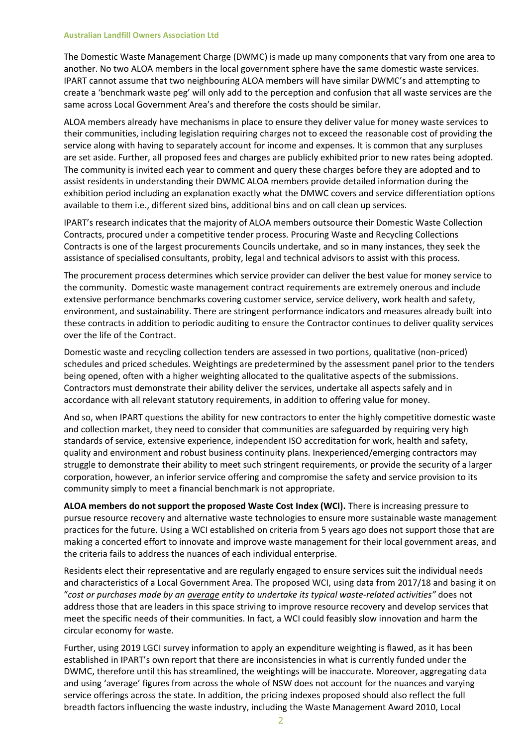#### **Australian Landfill Owners Association Ltd**

The Domestic Waste Management Charge (DWMC) is made up many components that vary from one area to another. No two ALOA members in the local government sphere have the same domestic waste services. IPART cannot assume that two neighbouring ALOA members will have similar DWMC's and attempting to create a 'benchmark waste peg' will only add to the perception and confusion that all waste services are the same across Local Government Area's and therefore the costs should be similar.

ALOA members already have mechanisms in place to ensure they deliver value for money waste services to their communities, including legislation requiring charges not to exceed the reasonable cost of providing the service along with having to separately account for income and expenses. It is common that any surpluses are set aside. Further, all proposed fees and charges are publicly exhibited prior to new rates being adopted. The community is invited each year to comment and query these charges before they are adopted and to assist residents in understanding their DWMC ALOA members provide detailed information during the exhibition period including an explanation exactly what the DMWC covers and service differentiation options available to them i.e., different sized bins, additional bins and on call clean up services.

IPART's research indicates that the majority of ALOA members outsource their Domestic Waste Collection Contracts, procured under a competitive tender process. Procuring Waste and Recycling Collections Contracts is one of the largest procurements Councils undertake, and so in many instances, they seek the assistance of specialised consultants, probity, legal and technical advisors to assist with this process.

The procurement process determines which service provider can deliver the best value for money service to the community. Domestic waste management contract requirements are extremely onerous and include extensive performance benchmarks covering customer service, service delivery, work health and safety, environment, and sustainability. There are stringent performance indicators and measures already built into these contracts in addition to periodic auditing to ensure the Contractor continues to deliver quality services over the life of the Contract.

Domestic waste and recycling collection tenders are assessed in two portions, qualitative (non-priced) schedules and priced schedules. Weightings are predetermined by the assessment panel prior to the tenders being opened, often with a higher weighting allocated to the qualitative aspects of the submissions. Contractors must demonstrate their ability deliver the services, undertake all aspects safely and in accordance with all relevant statutory requirements, in addition to offering value for money.

And so, when IPART questions the ability for new contractors to enter the highly competitive domestic waste and collection market, they need to consider that communities are safeguarded by requiring very high standards of service, extensive experience, independent ISO accreditation for work, health and safety, quality and environment and robust business continuity plans. Inexperienced/emerging contractors may struggle to demonstrate their ability to meet such stringent requirements, or provide the security of a larger corporation, however, an inferior service offering and compromise the safety and service provision to its community simply to meet a financial benchmark is not appropriate.

**ALOA members do not support the proposed Waste Cost Index (WCI).** There is increasing pressure to pursue resource recovery and alternative waste technologies to ensure more sustainable waste management practices for the future. Using a WCI established on criteria from 5 years ago does not support those that are making a concerted effort to innovate and improve waste management for their local government areas, and the criteria fails to address the nuances of each individual enterprise.

Residents elect their representative and are regularly engaged to ensure services suit the individual needs and characteristics of a Local Government Area. The proposed WCI, using data from 2017/18 and basing it on "*cost or purchases made by an average entity to undertake its typical waste-related activities"* does not address those that are leaders in this space striving to improve resource recovery and develop services that meet the specific needs of their communities. In fact, a WCI could feasibly slow innovation and harm the circular economy for waste.

Further, using 2019 LGCI survey information to apply an expenditure weighting is flawed, as it has been established in IPART's own report that there are inconsistencies in what is currently funded under the DWMC, therefore until this has streamlined, the weightings will be inaccurate. Moreover, aggregating data and using 'average' figures from across the whole of NSW does not account for the nuances and varying service offerings across the state. In addition, the pricing indexes proposed should also reflect the full breadth factors influencing the waste industry, including the Waste Management Award 2010, Local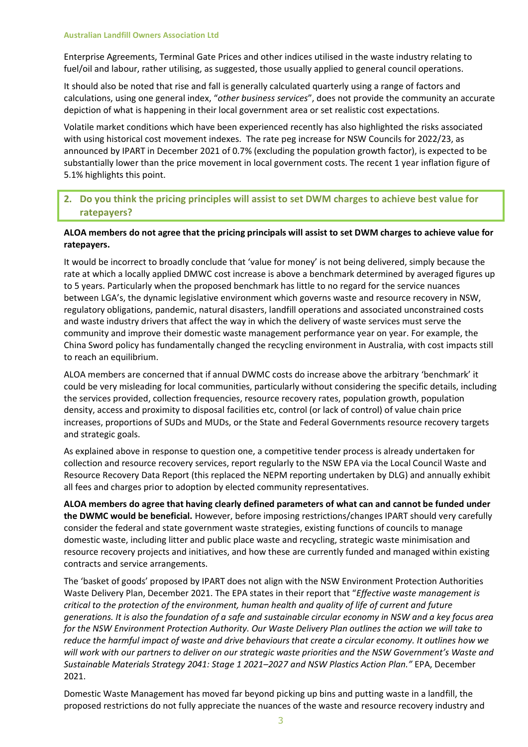Enterprise Agreements, Terminal Gate Prices and other indices utilised in the waste industry relating to fuel/oil and labour, rather utilising, as suggested, those usually applied to general council operations.

It should also be noted that rise and fall is generally calculated quarterly using a range of factors and calculations, using one general index, "*other business services*", does not provide the community an accurate depiction of what is happening in their local government area or set realistic cost expectations.

Volatile market conditions which have been experienced recently has also highlighted the risks associated with using historical cost movement indexes. The rate peg increase for NSW Councils for 2022/23, as announced by IPART in December 2021 of 0.7% (excluding the population growth factor), is expected to be substantially lower than the price movement in local government costs. The recent 1 year inflation figure of 5.1% highlights this point.

# **2. Do you think the pricing principles will assist to set DWM charges to achieve best value for ratepayers?**

## **ALOA members do not agree that the pricing principals will assist to set DWM charges to achieve value for ratepayers.**

It would be incorrect to broadly conclude that 'value for money' is not being delivered, simply because the rate at which a locally applied DMWC cost increase is above a benchmark determined by averaged figures up to 5 years. Particularly when the proposed benchmark has little to no regard for the service nuances between LGA's, the dynamic legislative environment which governs waste and resource recovery in NSW, regulatory obligations, pandemic, natural disasters, landfill operations and associated unconstrained costs and waste industry drivers that affect the way in which the delivery of waste services must serve the community and improve their domestic waste management performance year on year. For example, the China Sword policy has fundamentally changed the recycling environment in Australia, with cost impacts still to reach an equilibrium.

ALOA members are concerned that if annual DWMC costs do increase above the arbitrary 'benchmark' it could be very misleading for local communities, particularly without considering the specific details, including the services provided, collection frequencies, resource recovery rates, population growth, population density, access and proximity to disposal facilities etc, control (or lack of control) of value chain price increases, proportions of SUDs and MUDs, or the State and Federal Governments resource recovery targets and strategic goals.

As explained above in response to question one, a competitive tender process is already undertaken for collection and resource recovery services, report regularly to the NSW EPA via the Local Council Waste and Resource Recovery Data Report (this replaced the NEPM reporting undertaken by DLG) and annually exhibit all fees and charges prior to adoption by elected community representatives.

**ALOA members do agree that having clearly defined parameters of what can and cannot be funded under the DWMC would be beneficial.** However, before imposing restrictions/changes IPART should very carefully consider the federal and state government waste strategies, existing functions of councils to manage domestic waste, including litter and public place waste and recycling, strategic waste minimisation and resource recovery projects and initiatives, and how these are currently funded and managed within existing contracts and service arrangements.

The 'basket of goods' proposed by IPART does not align with the NSW Environment Protection Authorities Waste Delivery Plan, December 2021. The EPA states in their report that "*Effective waste management is critical to the protection of the environment, human health and quality of life of current and future generations. It is also the foundation of a safe and sustainable circular economy in NSW and a key focus area for the NSW Environment Protection Authority. Our Waste Delivery Plan outlines the action we will take to reduce the harmful impact of waste and drive behaviours that create a circular economy. It outlines how we will work with our partners to deliver on our strategic waste priorities and the NSW Government's Waste and Sustainable Materials Strategy 2041: Stage 1 2021–2027 and NSW Plastics Action Plan."* EPA, December 2021.

Domestic Waste Management has moved far beyond picking up bins and putting waste in a landfill, the proposed restrictions do not fully appreciate the nuances of the waste and resource recovery industry and